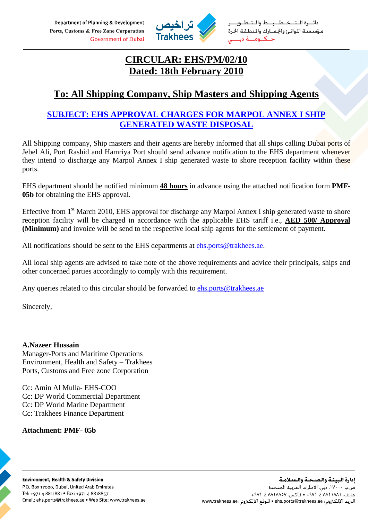Department of Planning & Development Ports, Customs & Free Zone Corporation **Government of Dubai** 



خطيط والت مؤسسة الموانئ والجمارك والمنطقة الحرة حــكــومـــة دبا

# **CIRCULAR: EHS/PM/02/10 Dated: 18th February 2010**

## **To: All Shipping Company, Ship Masters and Shipping Agents**

## **SUBJECT: EHS APPROVAL CHARGES FOR MARPOL ANNEX I SHIP GENERATED WASTE DISPOSAL**

All Shipping company, Ship masters and their agents are hereby informed that all ships calling Dubai ports of Jebel Ali, Port Rashid and Hamriya Port should send advance notification to the EHS department whenever they intend to discharge any Marpol Annex I ship generated waste to shore reception facility within these ports.

EHS department should be notified minimum **48 hours** in advance using the attached notification form **PMF-05b** for obtaining the EHS approval.

Effective from  $1<sup>st</sup>$  March 2010, EHS approval for discharge any Marpol Annex I ship generated waste to shore reception facility will be charged in accordance with the applicable EHS tariff i.e., **AED 500/ Approval (Minimum)** and invoice will be send to the respective local ship agents for the settlement of payment.

All notifications should be sent to the EHS departments at [ehs.ports@trakhees.ae.](mailto:ehs.ports@trakhees.ae)

All local ship agents are advised to take note of the above requirements and advice their principals, ships and other concerned parties accordingly to comply with this requirement.

Any queries related to this circular should be forwarded to [ehs.ports@trakhees.ae](mailto:ehs.ports@trakhees.ae)

Sincerely,

**A.Nazeer Hussain**  Manager-Ports and Maritime Operations Environment, Health and Safety – Trakhees Ports, Customs and Free zone Corporation

Cc: Amin Al Mulla- EHS-COO Cc: DP World Commercial Department Cc: DP World Marine Department Cc: Trakhees Finance Department

### **Attachment: PMF- 05b**